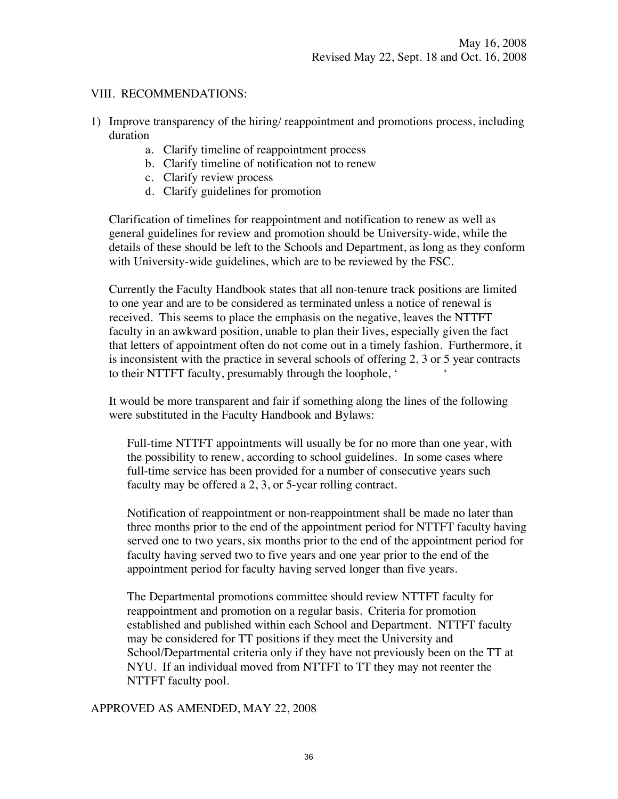### VIII. RECOMMENDATIONS:

- 1) Improve transparency of the hiring/ reappointment and promotions process, including duration
	- a. Clarify timeline of reappointment process
	- b. Clarify timeline of notification not to renew
	- c. Clarify review process
	- d. Clarify guidelines for promotion

Clarification of timelines for reappointment and notification to renew as well as general guidelines for review and promotion should be University-wide, while the details of these should be left to the Schools and Department, as long as they conform with University-wide guidelines, which are to be reviewed by the FSC.

Currently the Faculty Handbook states that all non-tenure track positions are limited to one year and are to be considered as terminated unless a notice of renewal is received. This seems to place the emphasis on the negative, leaves the NTTFT faculty in an awkward position, unable to plan their lives, especially given the fact that letters of appointment often do not come out in a timely fashion. Furthermore, it is inconsistent with the practice in several schools of offering 2, 3 or 5 year contracts to their NTTFT faculty, presumably through the loophole, ' '

It would be more transparent and fair if something along the lines of the following were substituted in the Faculty Handbook and Bylaws:

Full-time NTTFT appointments will usually be for no more than one year, with the possibility to renew, according to school guidelines. In some cases where full-time service has been provided for a number of consecutive years such faculty may be offered a 2, 3, or 5-year rolling contract.

Notification of reappointment or non-reappointment shall be made no later than three months prior to the end of the appointment period for NTTFT faculty having served one to two years, six months prior to the end of the appointment period for faculty having served two to five years and one year prior to the end of the appointment period for faculty having served longer than five years.

The Departmental promotions committee should review NTTFT faculty for reappointment and promotion on a regular basis. Criteria for promotion established and published within each School and Department. NTTFT faculty may be considered for TT positions if they meet the University and School/Departmental criteria only if they have not previously been on the TT at NYU. If an individual moved from NTTFT to TT they may not reenter the NTTFT faculty pool.

APPROVED AS AMENDED, MAY 22, 2008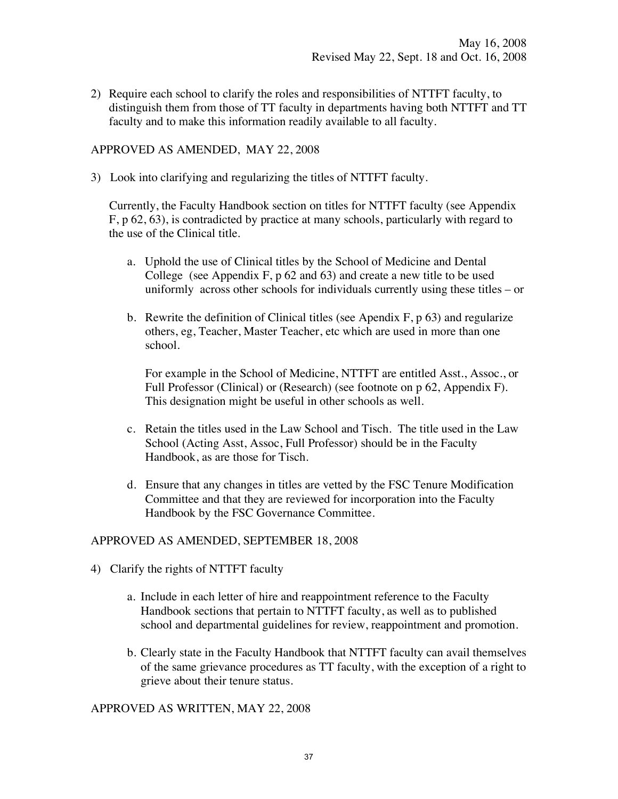2) Require each school to clarify the roles and responsibilities of NTTFT faculty, to distinguish them from those of TT faculty in departments having both NTTFT and TT faculty and to make this information readily available to all faculty.

## APPROVED AS AMENDED, MAY 22, 2008

3) Look into clarifying and regularizing the titles of NTTFT faculty.

 Currently, the Faculty Handbook section on titles for NTTFT faculty (see Appendix F, p 62, 63), is contradicted by practice at many schools, particularly with regard to the use of the Clinical title.

- a. Uphold the use of Clinical titles by the School of Medicine and Dental College (see Appendix F, p 62 and 63) and create a new title to be used uniformly across other schools for individuals currently using these titles – or
- b. Rewrite the definition of Clinical titles (see Apendix  $F$ , p 63) and regularize others, eg, Teacher, Master Teacher, etc which are used in more than one school.

For example in the School of Medicine, NTTFT are entitled Asst., Assoc., or Full Professor (Clinical) or (Research) (see footnote on p 62, Appendix F). This designation might be useful in other schools as well.

- c. Retain the titles used in the Law School and Tisch. The title used in the Law School (Acting Asst, Assoc, Full Professor) should be in the Faculty Handbook, as are those for Tisch.
- d. Ensure that any changes in titles are vetted by the FSC Tenure Modification Committee and that they are reviewed for incorporation into the Faculty Handbook by the FSC Governance Committee.

#### APPROVED AS AMENDED, SEPTEMBER 18, 2008

- 4) Clarify the rights of NTTFT faculty
	- a. Include in each letter of hire and reappointment reference to the Faculty Handbook sections that pertain to NTTFT faculty, as well as to published school and departmental guidelines for review, reappointment and promotion.
	- b. Clearly state in the Faculty Handbook that NTTFT faculty can avail themselves of the same grievance procedures as TT faculty, with the exception of a right to grieve about their tenure status.

APPROVED AS WRITTEN, MAY 22, 2008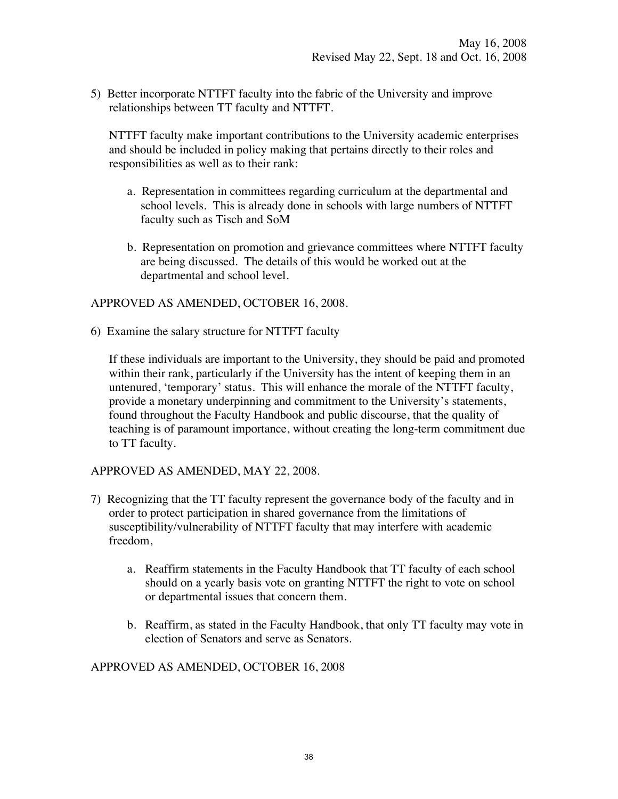5) Better incorporate NTTFT faculty into the fabric of the University and improve relationships between TT faculty and NTTFT.

NTTFT faculty make important contributions to the University academic enterprises and should be included in policy making that pertains directly to their roles and responsibilities as well as to their rank:

- a. Representation in committees regarding curriculum at the departmental and school levels. This is already done in schools with large numbers of NTTFT faculty such as Tisch and SoM
- b. Representation on promotion and grievance committees where NTTFT faculty are being discussed. The details of this would be worked out at the departmental and school level.

### APPROVED AS AMENDED, OCTOBER 16, 2008.

6) Examine the salary structure for NTTFT faculty

If these individuals are important to the University, they should be paid and promoted within their rank, particularly if the University has the intent of keeping them in an untenured, 'temporary' status. This will enhance the morale of the NTTFT faculty, provide a monetary underpinning and commitment to the University's statements, found throughout the Faculty Handbook and public discourse, that the quality of teaching is of paramount importance, without creating the long-term commitment due to TT faculty.

#### APPROVED AS AMENDED, MAY 22, 2008.

- 7) Recognizing that the TT faculty represent the governance body of the faculty and in order to protect participation in shared governance from the limitations of susceptibility/vulnerability of NTTFT faculty that may interfere with academic freedom,
	- a. Reaffirm statements in the Faculty Handbook that TT faculty of each school should on a yearly basis vote on granting NTTFT the right to vote on school or departmental issues that concern them.
	- b. Reaffirm, as stated in the Faculty Handbook, that only TT faculty may vote in election of Senators and serve as Senators.

# APPROVED AS AMENDED, OCTOBER 16, 2008